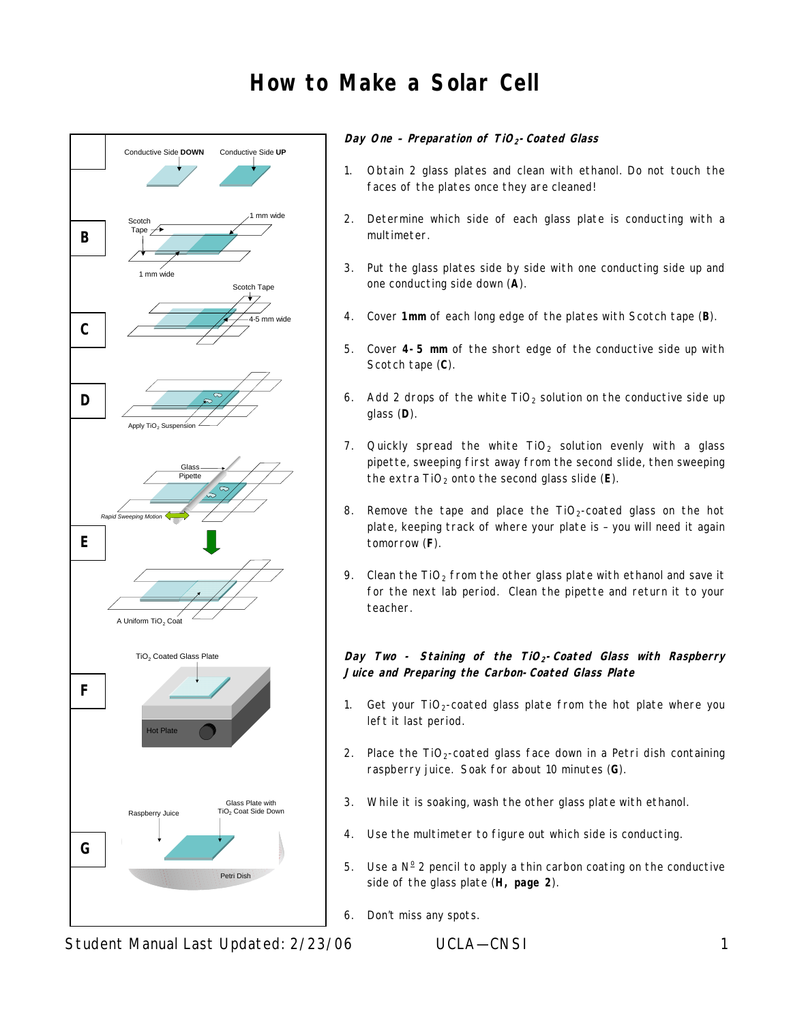# **How to Make a Solar Cell**



#### **Day One – Preparation of TiO2-Coated Glass**

- 1. Obtain 2 glass plates and clean with ethanol. Do not touch the faces of the plates once they are cleaned!
- 2. Determine which side of each glass plate is conducting with a multimeter.
- 3. Put the glass plates side by side with one conducting side up and one conducting side down (**A**).
- 4. Cover **1mm** of each long edge of the plates with Scotch tape (**B**).
- 5. Cover **4-5 mm** of the short edge of the conductive side up with Scotch tape (**C**).
- 6. Add 2 drops of the white  $TiO<sub>2</sub>$  solution on the conductive side up glass (**D**).
- 7. Quickly spread the white  $TiO<sub>2</sub>$  solution evenly with a glass pipette, sweeping first away from the second slide, then sweeping the extra TiO<sub>2</sub> onto the second glass slide (E).
- 8. Remove the tape and place the  $TiO<sub>2</sub>$ -coated glass on the hot plate, keeping track of where your plate is – you will need it again tomorrow (**F**).
- 9. Clean the  $TiO<sub>2</sub>$  from the other glass plate with ethanol and save it for the next lab period. Clean the pipette and return it to your teacher.

#### **Day Two - Staining of the TiO2-Coated Glass with Raspberry Juice and Preparing the Carbon-Coated Glass Plate**

- 1. Get your  $TiO<sub>2</sub>$ -coated glass plate from the hot plate where you left it last period.
- 2. Place the  $TiO<sub>2</sub>$ -coated glass face down in a Petri dish containing raspberry juice. Soak for about 10 minutes (**G**).
- 3. While it is soaking, wash the other glass plate with ethanol.
- 4. Use the multimeter to figure out which side is conducting.
- 5. Use a  $N^{\circ}$  2 pencil to apply a thin carbon coating on the conductive side of the glass plate (**H, page 2**).
- 6. Don't miss any spots.

Student Manual Last Updated: 2/23/06 UCLA—CNSI 1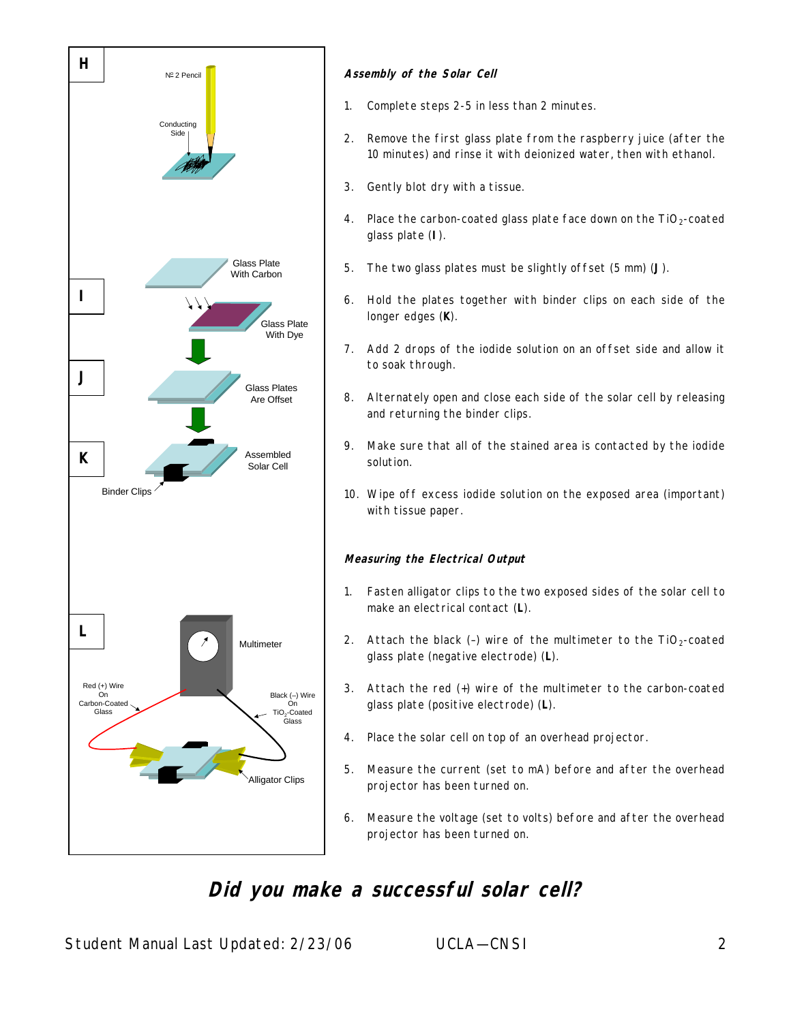

#### **Assembly of the Solar Cell**

- 1. Complete steps 2-5 in less than 2 minutes.
- 2. Remove the first glass plate from the raspberry juice (after the 10 minutes) and rinse it with deionized water, then with ethanol.
- 3. Gently blot dry with a tissue.
- 4. Place the carbon-coated glass plate face down on the  $TiO<sub>2</sub>$ -coated glass plate (**I**).
- 5. The two glass plates must be slightly offset (5 mm) (**J**).
- 6. Hold the plates together with binder clips on each side of the longer edges (**K**).
- 7. Add 2 drops of the iodide solution on an offset side and allow it to soak through.
- 8. Alternately open and close each side of the solar cell by releasing and returning the binder clips.
- 9. Make sure that all of the stained area is contacted by the iodide solution.
- 10. Wipe off excess iodide solution on the exposed area (important) with tissue paper.

#### **Measuring the Electrical Output**

- 1. Fasten alligator clips to the two exposed sides of the solar cell to make an electrical contact (**L**).
- 2. Attach the black (-) wire of the multimeter to the  $TiO<sub>2</sub>$ -coated glass plate (negative electrode) (**L**).
- 3. Attach the red (+) wire of the multimeter to the carbon-coated glass plate (positive electrode) (**L**).
- 4. Place the solar cell on top of an overhead projector.
- 5. Measure the current (set to mA) before and after the overhead projector has been turned on.
- 6. Measure the voltage (set to volts) before and after the overhead projector has been turned on.

# **Did you make a successful solar cell?**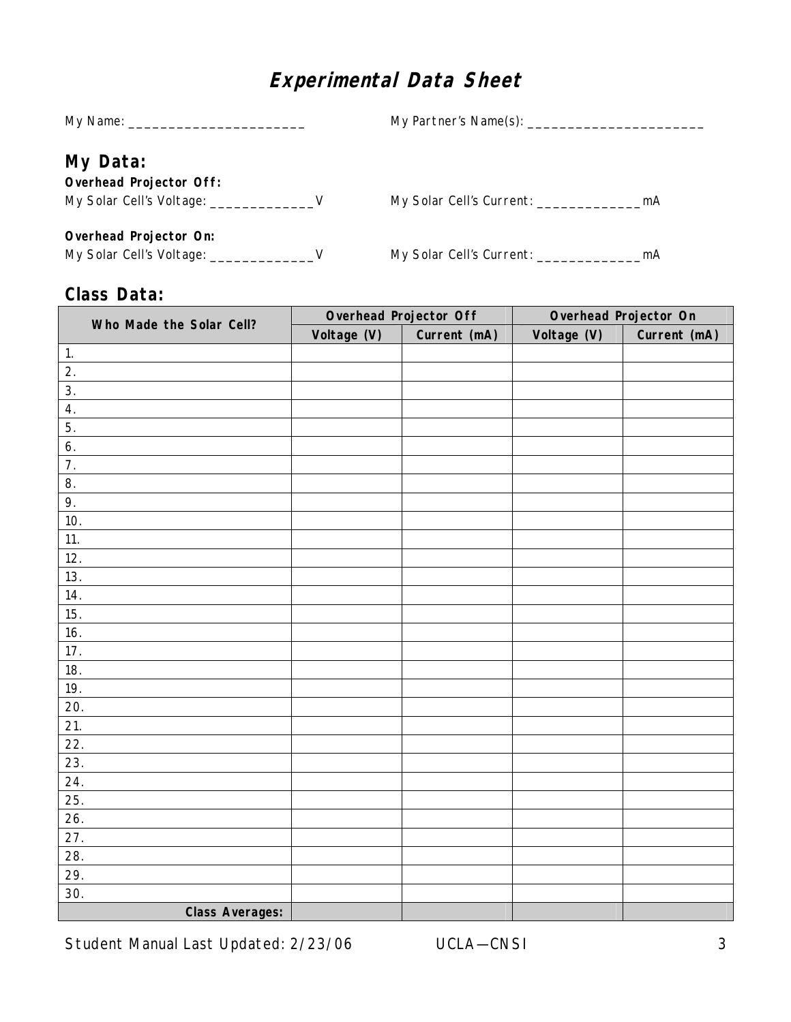# **Experimental Data Sheet**

| My Data:                                         |                                          |  |
|--------------------------------------------------|------------------------------------------|--|
| <b>Overhead Projector Off:</b>                   |                                          |  |
| My Solar Cell's Voltage: ______________________V |                                          |  |
| Overhead Projector On:                           |                                          |  |
|                                                  | My Solar Cell's Current: _________<br>mA |  |
|                                                  |                                          |  |

### **Class Data:**

| Who Made the Solar Cell? |             | Overhead Projector Off | Overhead Projector On |              |
|--------------------------|-------------|------------------------|-----------------------|--------------|
|                          | Voltage (V) | Current (mA)           | Voltage (V)           | Current (mA) |
| $\mathbf{1}$ .           |             |                        |                       |              |
| 2.                       |             |                        |                       |              |
| 3.                       |             |                        |                       |              |
| 4.                       |             |                        |                       |              |
| 5.                       |             |                        |                       |              |
| 6.                       |             |                        |                       |              |
| 7.                       |             |                        |                       |              |
| 8.                       |             |                        |                       |              |
| 9.                       |             |                        |                       |              |
| 10.                      |             |                        |                       |              |
| 11.                      |             |                        |                       |              |
| 12.                      |             |                        |                       |              |
| 13.                      |             |                        |                       |              |
| 14.                      |             |                        |                       |              |
| 15.                      |             |                        |                       |              |
| 16.                      |             |                        |                       |              |
| 17.                      |             |                        |                       |              |
| 18.                      |             |                        |                       |              |
| 19.                      |             |                        |                       |              |
| 20.                      |             |                        |                       |              |
| 21.                      |             |                        |                       |              |
| 22.                      |             |                        |                       |              |
| 23.                      |             |                        |                       |              |
| 24.                      |             |                        |                       |              |
| 25.                      |             |                        |                       |              |
| 26.                      |             |                        |                       |              |
| 27.                      |             |                        |                       |              |
| 28.                      |             |                        |                       |              |
| 29.                      |             |                        |                       |              |
| 30.                      |             |                        |                       |              |
| <b>Class Averages:</b>   |             |                        |                       |              |